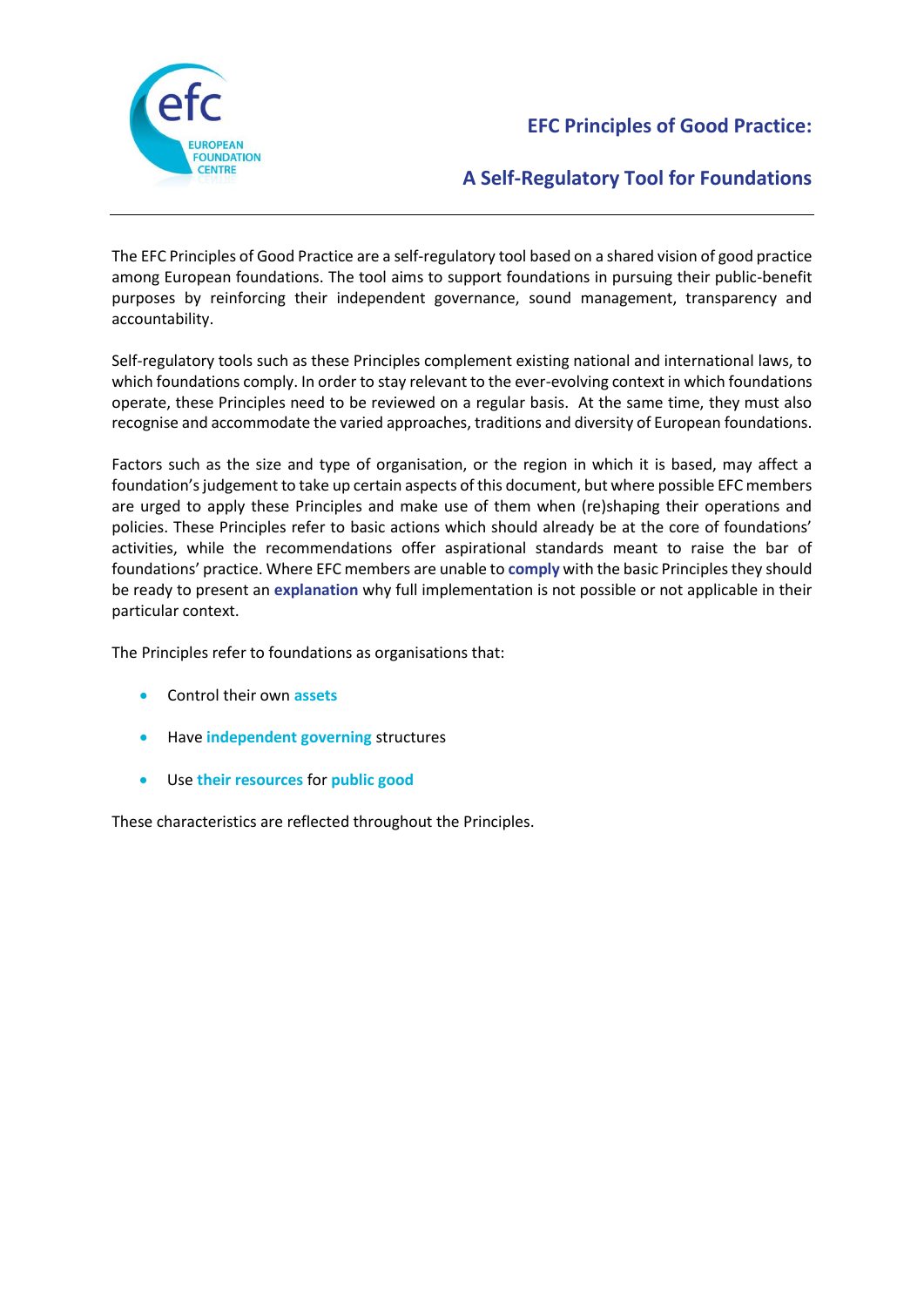

# **EFC Principles of Good Practice:**

# **A Self-Regulatory Tool for Foundations**

The EFC Principles of Good Practice are a self-regulatory tool based on a shared vision of good practice among European foundations. The tool aims to support foundations in pursuing their public-benefit purposes by reinforcing their independent governance, sound management, transparency and accountability.

Self-regulatory tools such as these Principles complement existing national and international laws, to which foundations comply. In order to stay relevant to the ever-evolving context in which foundations operate, these Principles need to be reviewed on a regular basis. At the same time, they must also recognise and accommodate the varied approaches, traditions and diversity of European foundations.

Factors such as the size and type of organisation, or the region in which it is based, may affect a foundation's judgement to take up certain aspects of this document, but where possible EFC members are urged to apply these Principles and make use of them when (re)shaping their operations and policies. These Principles refer to basic actions which should already be at the core of foundations' activities, while the recommendations offer aspirational standards meant to raise the bar of foundations' practice. Where EFC members are unable to **comply** with the basic Principlesthey should be ready to present an **explanation** why full implementation is not possible or not applicable in their particular context.

The Principles refer to foundations as organisations that:

- Control their own **assets**
- Have **independent governing** structures
- Use **their resources** for **public good**

These characteristics are reflected throughout the Principles.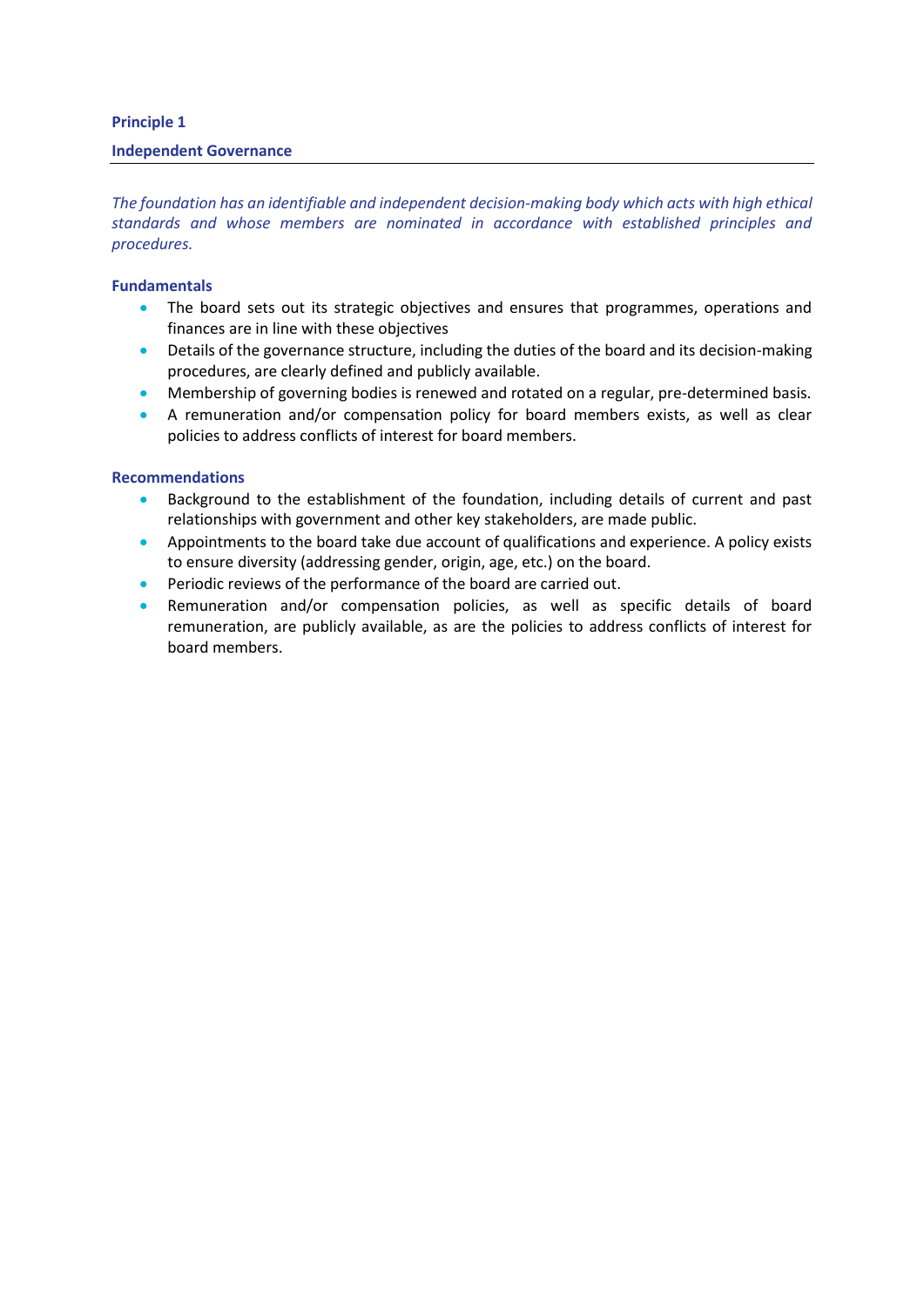## **Principle 1**

#### **Independent Governance**

*The foundation has an identifiable and independent decision-making body which acts with high ethical standards and whose members are nominated in accordance with established principles and procedures.*

### **Fundamentals**

- The board sets out its strategic objectives and ensures that programmes, operations and finances are in line with these objectives
- Details of the governance structure, including the duties of the board and its decision-making procedures, are clearly defined and publicly available.
- Membership of governing bodies is renewed and rotated on a regular, pre-determined basis.
- A remuneration and/or compensation policy for board members exists, as well as clear policies to address conflicts of interest for board members.

- Background to the establishment of the foundation, including details of current and past relationships with government and other key stakeholders, are made public.
- Appointments to the board take due account of qualifications and experience. A policy exists to ensure diversity (addressing gender, origin, age, etc.) on the board.
- **•** Periodic reviews of the performance of the board are carried out.
- Remuneration and/or compensation policies, as well as specific details of board remuneration, are publicly available, as are the policies to address conflicts of interest for board members.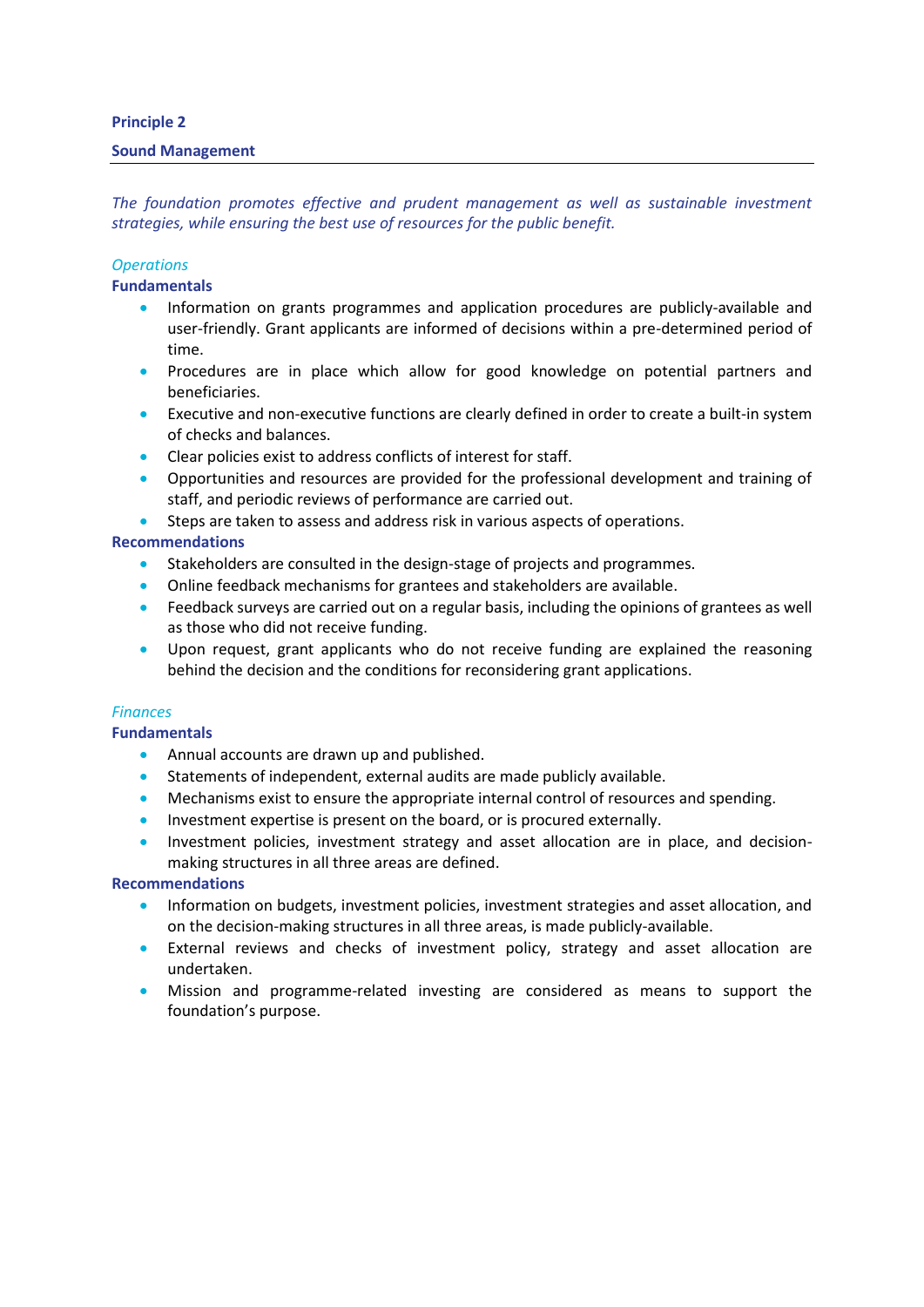## **Principle 2**

#### **Sound Management**

*The foundation promotes effective and prudent management as well as sustainable investment strategies, while ensuring the best use of resources for the public benefit.* 

## *Operations*

### **Fundamentals**

- Information on grants programmes and application procedures are publicly-available and user-friendly. Grant applicants are informed of decisions within a pre-determined period of time.
- Procedures are in place which allow for good knowledge on potential partners and beneficiaries.
- Executive and non-executive functions are clearly defined in order to create a built-in system of checks and balances.
- Clear policies exist to address conflicts of interest for staff.
- Opportunities and resources are provided for the professional development and training of staff, and periodic reviews of performance are carried out.
- Steps are taken to assess and address risk in various aspects of operations.

## **Recommendations**

- Stakeholders are consulted in the design-stage of projects and programmes.
- Online feedback mechanisms for grantees and stakeholders are available.
- **•** Feedback surveys are carried out on a regular basis, including the opinions of grantees as well as those who did not receive funding.
- Upon request, grant applicants who do not receive funding are explained the reasoning behind the decision and the conditions for reconsidering grant applications.

## *Finances*

## **Fundamentals**

- Annual accounts are drawn up and published.
- Statements of independent, external audits are made publicly available.
- **Mechanisms exist to ensure the appropriate internal control of resources and spending.**
- Investment expertise is present on the board, or is procured externally.
- Investment policies, investment strategy and asset allocation are in place, and decisionmaking structures in all three areas are defined.

- Information on budgets, investment policies, investment strategies and asset allocation, and on the decision-making structures in all three areas, is made publicly-available.
- External reviews and checks of investment policy, strategy and asset allocation are undertaken.
- Mission and programme-related investing are considered as means to support the foundation's purpose.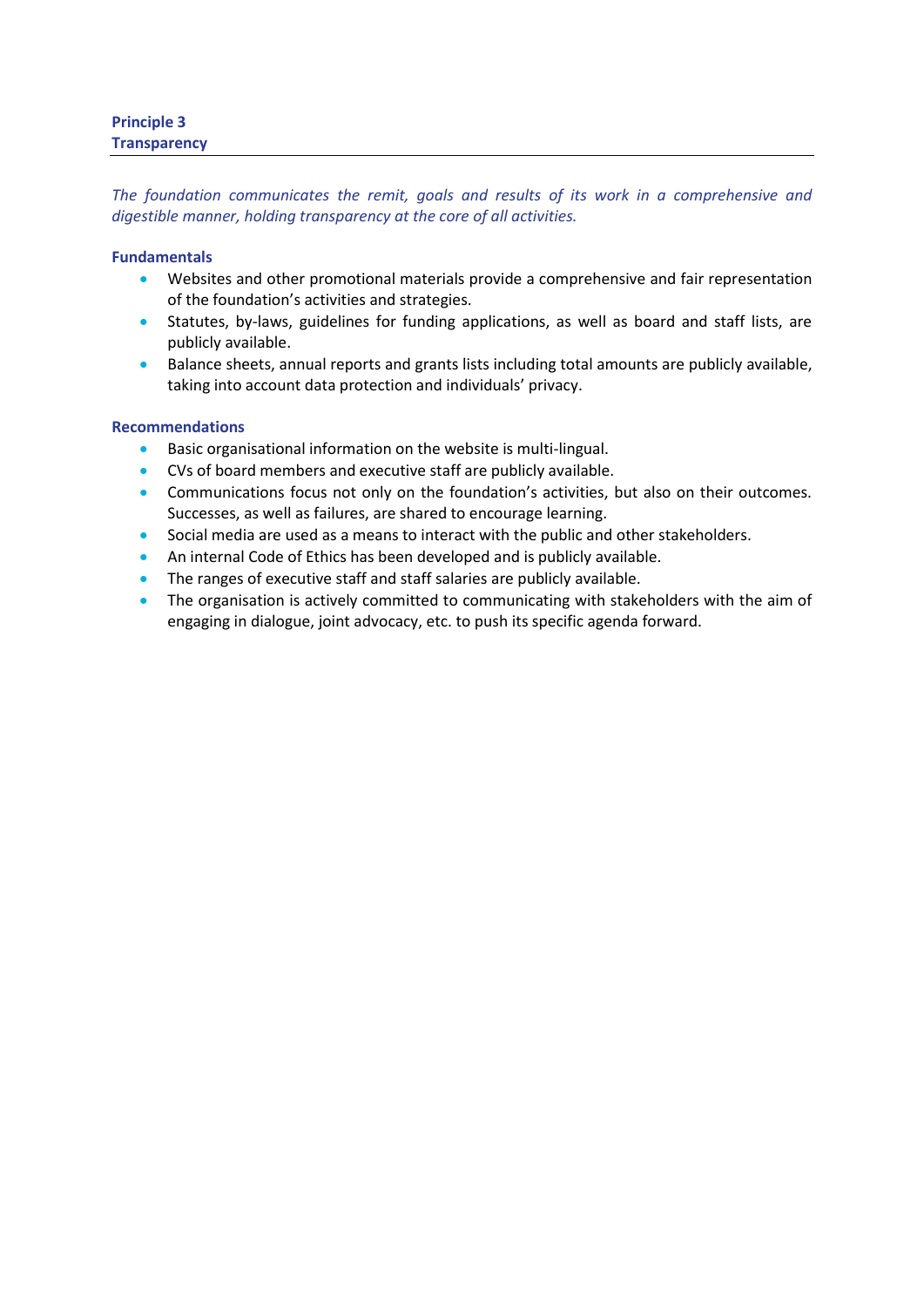# **Principle 3 Transparency**

*The foundation communicates the remit, goals and results of its work in a comprehensive and digestible manner, holding transparency at the core of all activities.* 

# **Fundamentals**

- Websites and other promotional materials provide a comprehensive and fair representation of the foundation's activities and strategies.
- Statutes, by-laws, guidelines for funding applications, as well as board and staff lists, are publicly available.
- Balance sheets, annual reports and grants lists including total amounts are publicly available, taking into account data protection and individuals' privacy.

- Basic organisational information on the website is multi-lingual.
- CVs of board members and executive staff are publicly available.
- Communications focus not only on the foundation's activities, but also on their outcomes. Successes, as well as failures, are shared to encourage learning.
- Social media are used as a means to interact with the public and other stakeholders.
- An internal Code of Ethics has been developed and is publicly available.
- The ranges of executive staff and staff salaries are publicly available.
- The organisation is actively committed to communicating with stakeholders with the aim of engaging in dialogue, joint advocacy, etc. to push its specific agenda forward.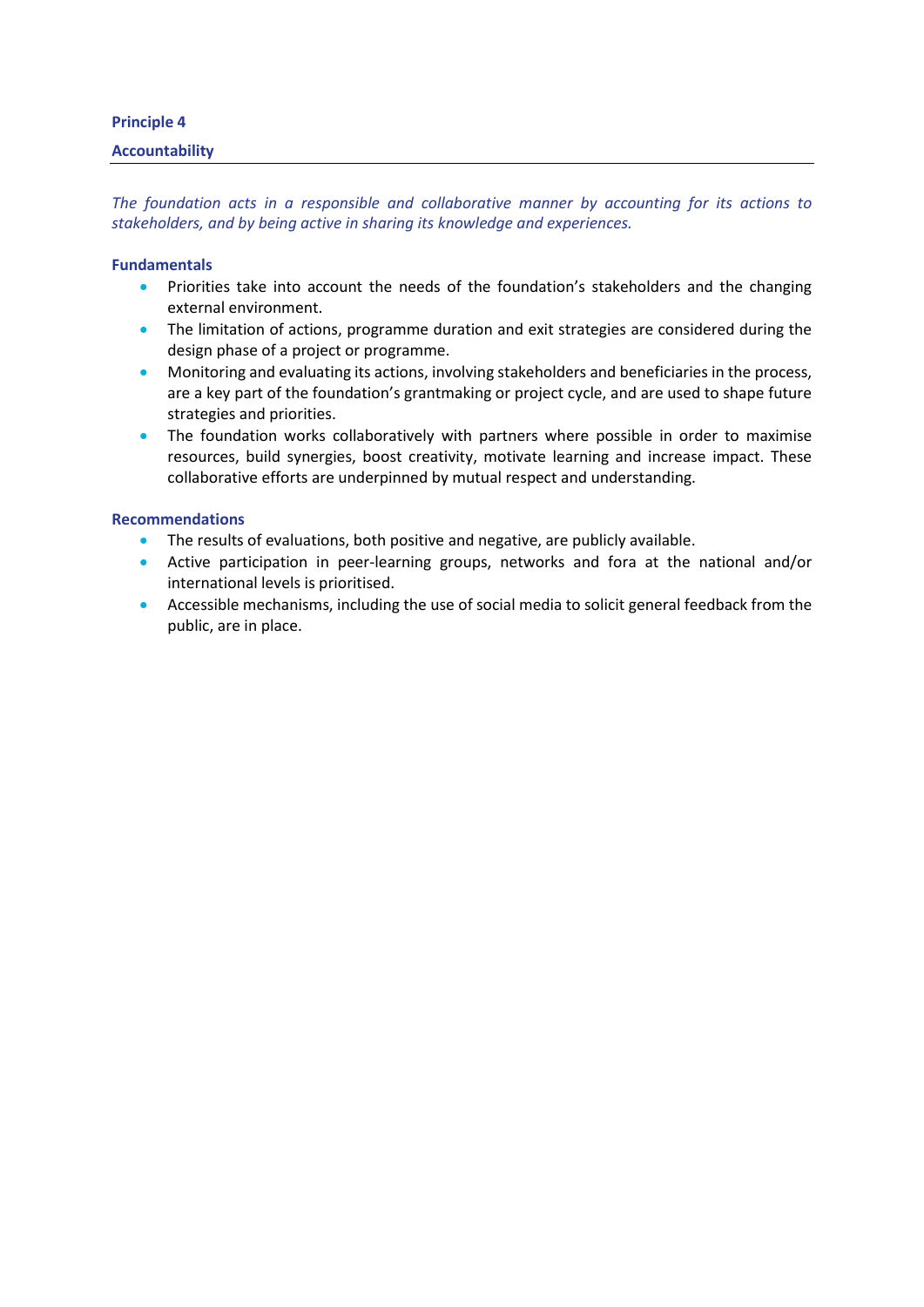# **Principle 4**

# **Accountability**

*The foundation acts in a responsible and collaborative manner by accounting for its actions to stakeholders, and by being active in sharing its knowledge and experiences.* 

### **Fundamentals**

- Priorities take into account the needs of the foundation's stakeholders and the changing external environment.
- The limitation of actions, programme duration and exit strategies are considered during the design phase of a project or programme.
- **•** Monitoring and evaluating its actions, involving stakeholders and beneficiaries in the process, are a key part of the foundation's grantmaking or project cycle, and are used to shape future strategies and priorities.
- The foundation works collaboratively with partners where possible in order to maximise resources, build synergies, boost creativity, motivate learning and increase impact. These collaborative efforts are underpinned by mutual respect and understanding.

- The results of evaluations, both positive and negative, are publicly available.
- Active participation in peer-learning groups, networks and fora at the national and/or international levels is prioritised.
- Accessible mechanisms, including the use of social media to solicit general feedback from the public, are in place.